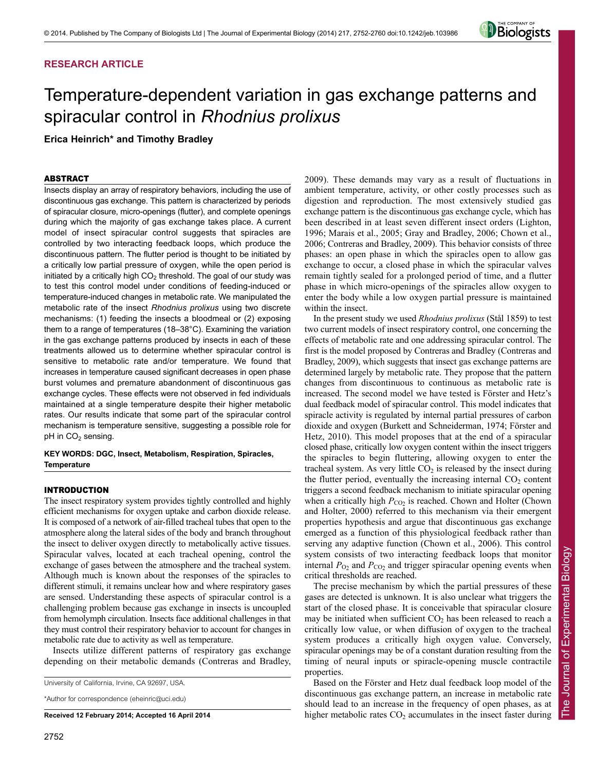# **RESEARCH ARTICLE**

# Temperature-dependent variation in gas exchange patterns and spiracular control in *Rhodnius prolixus*

**Erica Heinrich\* and Timothy Bradley**

# ABSTRACT

Insects display an array of respiratory behaviors, including the use of discontinuous gas exchange. This pattern is characterized by periods of spiracular closure, micro-openings (flutter), and complete openings during which the majority of gas exchange takes place. A current model of insect spiracular control suggests that spiracles are controlled by two interacting feedback loops, which produce the discontinuous pattern. The flutter period is thought to be initiated by a critically low partial pressure of oxygen, while the open period is initiated by a critically high  $CO<sub>2</sub>$  threshold. The goal of our study was to test this control model under conditions of feeding-induced or temperature-induced changes in metabolic rate. We manipulated the metabolic rate of the insect *Rhodnius prolixus* using two discrete mechanisms: (1) feeding the insects a bloodmeal or (2) exposing them to a range of temperatures (18–38°C). Examining the variation in the gas exchange patterns produced by insects in each of these treatments allowed us to determine whether spiracular control is sensitive to metabolic rate and/or temperature. We found that increases in temperature caused significant decreases in open phase burst volumes and premature abandonment of discontinuous gas exchange cycles. These effects were not observed in fed individuals maintained at a single temperature despite their higher metabolic rates. Our results indicate that some part of the spiracular control mechanism is temperature sensitive, suggesting a possible role for  $pH$  in  $CO<sub>2</sub>$  sensing.

**KEY WORDS: DGC, Insect, Metabolism, Respiration, Spiracles, Temperature**

# INTRODUCTION

The insect respiratory system provides tightly controlled and highly efficient mechanisms for oxygen uptake and carbon dioxide release. It is composed of a network of air-filled tracheal tubes that open to the atmosphere along the lateral sides of the body and branch throughout the insect to deliver oxygen directly to metabolically active tissues. Spiracular valves, located at each tracheal opening, control the exchange of gases between the atmosphere and the tracheal system. Although much is known about the responses of the spiracles to different stimuli, it remains unclear how and where respiratory gases are sensed. Understanding these aspects of spiracular control is a challenging problem because gas exchange in insects is uncoupled from hemolymph circulation. Insects face additional challenges in that they must control their respiratory behavior to account for changes in metabolic rate due to activity as well as temperature.

Insects utilize different patterns of respiratory gas exchange depending on their metabolic demands (Contreras and Bradley,

University of California, Irvine, CA 92697, USA.

\*Author for correspondence (eheinric@uci.edu)

**Received 12 February 2014; Accepted 16 April 2014**

2009). These demands may vary as a result of fluctuations in ambient temperature, activity, or other costly processes such as digestion and reproduction. The most extensively studied gas exchange pattern is the discontinuous gas exchange cycle, which has been described in at least seven different insect orders (Lighton, 1996; Marais et al., 2005; Gray and Bradley, 2006; Chown et al., 2006; Contreras and Bradley, 2009). This behavior consists of three phases: an open phase in which the spiracles open to allow gas exchange to occur, a closed phase in which the spiracular valves remain tightly sealed for a prolonged period of time, and a flutter phase in which micro-openings of the spiracles allow oxygen to enter the body while a low oxygen partial pressure is maintained within the insect.

In the present study we used *Rhodnius prolixus* (Stål 1859) to test two current models of insect respiratory control, one concerning the effects of metabolic rate and one addressing spiracular control. The first is the model proposed by Contreras and Bradley (Contreras and Bradley, 2009), which suggests that insect gas exchange patterns are determined largely by metabolic rate. They propose that the pattern changes from discontinuous to continuous as metabolic rate is increased. The second model we have tested is Fӧrster and Hetz's dual feedback model of spiracular control. This model indicates that spiracle activity is regulated by internal partial pressures of carbon dioxide and oxygen (Burkett and Schneiderman, 1974; Fӧrster and Hetz, 2010). This model proposes that at the end of a spiracular closed phase, critically low oxygen content within the insect triggers the spiracles to begin fluttering, allowing oxygen to enter the tracheal system. As very little  $CO<sub>2</sub>$  is released by the insect during the flutter period, eventually the increasing internal  $CO<sub>2</sub>$  content triggers a second feedback mechanism to initiate spiracular opening when a critically high  $P_{CO2}$  is reached. Chown and Holter (Chown and Holter, 2000) referred to this mechanism via their emergent properties hypothesis and argue that discontinuous gas exchange emerged as a function of this physiological feedback rather than serving any adaptive function (Chown et al., 2006). This control system consists of two interacting feedback loops that monitor internal  $P_{O2}$  and  $P_{CO2}$  and trigger spiracular opening events when critical thresholds are reached.

The precise mechanism by which the partial pressures of these gases are detected is unknown. It is also unclear what triggers the start of the closed phase. It is conceivable that spiracular closure may be initiated when sufficient  $CO<sub>2</sub>$  has been released to reach a critically low value, or when diffusion of oxygen to the tracheal system produces a critically high oxygen value. Conversely, spiracular openings may be of a constant duration resulting from the timing of neural inputs or spiracle-opening muscle contractile properties.

Based on the Fӧrster and Hetz dual feedback loop model of the discontinuous gas exchange pattern, an increase in metabolic rate should lead to an increase in the frequency of open phases, as at higher metabolic rates  $CO<sub>2</sub>$  accumulates in the insect faster during

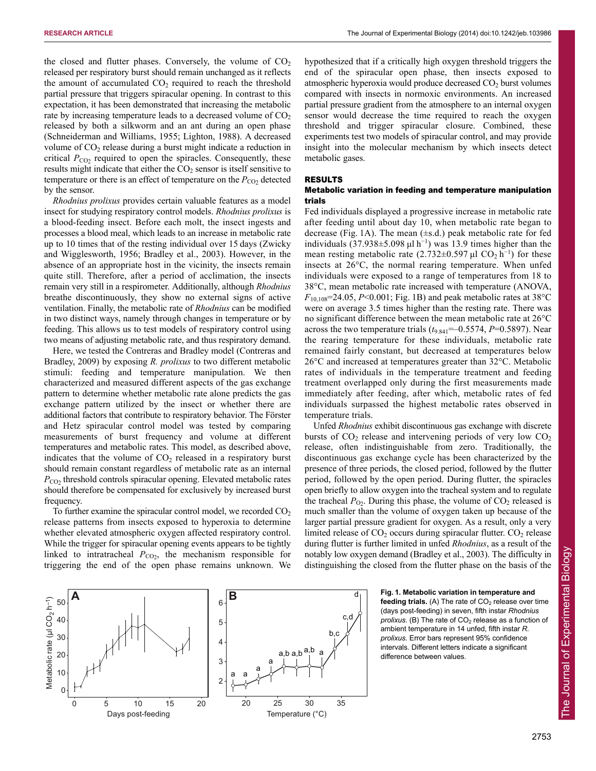the closed and flutter phases. Conversely, the volume of  $CO<sub>2</sub>$ released per respiratory burst should remain unchanged as it reflects the amount of accumulated  $CO<sub>2</sub>$  required to reach the threshold partial pressure that triggers spiracular opening. In contrast to this expectation, it has been demonstrated that increasing the metabolic rate by increasing temperature leads to a decreased volume of  $CO<sub>2</sub>$ released by both a silkworm and an ant during an open phase (Schneiderman and Williams, 1955; Lighton, 1988). A decreased volume of  $CO<sub>2</sub>$  release during a burst might indicate a reduction in critical  $P_{\text{CO}_2}$  required to open the spiracles. Consequently, these results might indicate that either the  $CO<sub>2</sub>$  sensor is itself sensitive to temperature or there is an effect of temperature on the  $P_{\text{CO}_2}$  detected by the sensor.

*Rhodnius prolixus* provides certain valuable features as a model insect for studying respiratory control models. *Rhodnius prolixus* is a blood-feeding insect. Before each molt, the insect ingests and processes a blood meal, which leads to an increase in metabolic rate up to 10 times that of the resting individual over 15 days (Zwicky and Wigglesworth, 1956; Bradley et al., 2003). However, in the absence of an appropriate host in the vicinity, the insects remain quite still. Therefore, after a period of acclimation, the insects remain very still in a respirometer. Additionally, although *Rhodnius* breathe discontinuously, they show no external signs of active ventilation. Finally, the metabolic rate of *Rhodnius* can be modified in two distinct ways, namely through changes in temperature or by feeding. This allows us to test models of respiratory control using two means of adjusting metabolic rate, and thus respiratory demand.

Here, we tested the Contreras and Bradley model (Contreras and Bradley, 2009) by exposing *R. prolixus* to two different metabolic stimuli: feeding and temperature manipulation. We then characterized and measured different aspects of the gas exchange pattern to determine whether metabolic rate alone predicts the gas exchange pattern utilized by the insect or whether there are additional factors that contribute to respiratory behavior. The Fӧrster and Hetz spiracular control model was tested by comparing measurements of burst frequency and volume at different temperatures and metabolic rates. This model, as described above, indicates that the volume of  $CO<sub>2</sub>$  released in a respiratory burst should remain constant regardless of metabolic rate as an internal  $P_{\rm CO}$ , threshold controls spiracular opening. Elevated metabolic rates should therefore be compensated for exclusively by increased burst frequency.

To further examine the spiracular control model, we recorded  $CO<sub>2</sub>$ release patterns from insects exposed to hyperoxia to determine whether elevated atmospheric oxygen affected respiratory control. While the trigger for spiracular opening events appears to be tightly linked to intratracheal  $P_{CO<sub>2</sub>}$ , the mechanism responsible for triggering the end of the open phase remains unknown. We hypothesized that if a critically high oxygen threshold triggers the end of the spiracular open phase, then insects exposed to atmospheric hyperoxia would produce decreased  $CO<sub>2</sub>$  burst volumes compared with insects in normoxic environments. An increased partial pressure gradient from the atmosphere to an internal oxygen sensor would decrease the time required to reach the oxygen threshold and trigger spiracular closure. Combined, these experiments test two models of spiracular control, and may provide insight into the molecular mechanism by which insects detect metabolic gases.

## RESULTS

# Metabolic variation in feeding and temperature manipulation trials

Fed individuals displayed a progressive increase in metabolic rate after feeding until about day 10, when metabolic rate began to decrease (Fig. 1A). The mean  $(\pm s.d.)$  peak metabolic rate for fed individuals  $(37.938 \pm 5.098 \mu l \, h^{-1})$  was 13.9 times higher than the mean resting metabolic rate  $(2.732 \pm 0.597 \,\mu$ l CO<sub>2</sub> h<sup>-1</sup>) for these insects at 26°C, the normal rearing temperature. When unfed individuals were exposed to a range of temperatures from 18 to 38°C, mean metabolic rate increased with temperature (ANOVA,  $F_{10,108}$ =24.05, *P*<0.001; Fig. 1B) and peak metabolic rates at 38°C were on average 3.5 times higher than the resting rate. There was no significant difference between the mean metabolic rate at 26°C across the two temperature trials (*t*9.841=–0.5574, *P*=0.5897). Near the rearing temperature for these individuals, metabolic rate remained fairly constant, but decreased at temperatures below 26°C and increased at temperatures greater than 32°C. Metabolic rates of individuals in the temperature treatment and feeding treatment overlapped only during the first measurements made immediately after feeding, after which, metabolic rates of fed individuals surpassed the highest metabolic rates observed in temperature trials.

Unfed *Rhodnius* exhibit discontinuous gas exchange with discrete bursts of  $CO<sub>2</sub>$  release and intervening periods of very low  $CO<sub>2</sub>$ release, often indistinguishable from zero. Traditionally, the discontinuous gas exchange cycle has been characterized by the presence of three periods, the closed period, followed by the flutter period, followed by the open period. During flutter, the spiracles open briefly to allow oxygen into the tracheal system and to regulate the tracheal  $P_{\text{O}}$ . During this phase, the volume of  $CO_2$  released is much smaller than the volume of oxygen taken up because of the larger partial pressure gradient for oxygen. As a result, only a very limited release of  $CO<sub>2</sub>$  occurs during spiracular flutter.  $CO<sub>2</sub>$  release during flutter is further limited in unfed *Rhodnius*, as a result of the notably low oxygen demand (Bradley et al., 2003). The difficulty in distinguishing the closed from the flutter phase on the basis of the



d **Fig. 1. Metabolic variation in temperature and feeding trials.** (A) The rate of  $CO<sub>2</sub>$  release over time (days post-feeding) in seven, fifth instar *Rhodnius* prolixus. (B) The rate of CO<sub>2</sub> release as a function of ambient temperature in 14 unfed, fifth instar *R. prolixus*. Error bars represent 95% confidence intervals. Different letters indicate a significant difference between values.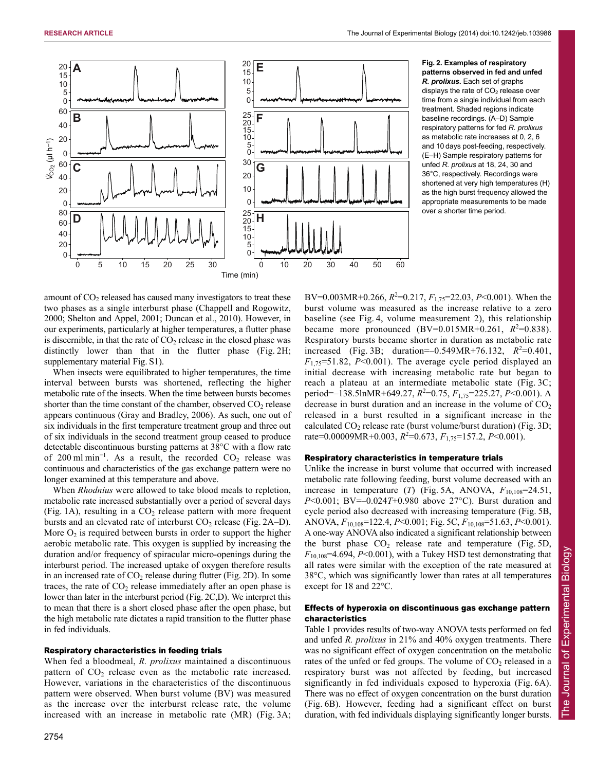

**Fig. 2. Examples of respiratory patterns observed in fed and unfed** *R. prolixus***.** Each set of graphs displays the rate of  $CO<sub>2</sub>$  release over time from a single individual from each treatment. Shaded regions indicate baseline recordings. (A–D) Sample respiratory patterns for fed *R. prolixus* as metabolic rate increases at 0, 2, 6 and 10 days post-feeding, respectively. (E–H) Sample respiratory patterns for unfed *R. prolixus* at 18, 24, 30 and 36°C, respectively. Recordings were shortened at very high temperatures (H) as the high burst frequency allowed the appropriate measurements to be made over a shorter time period.

amount of  $CO<sub>2</sub>$  released has caused many investigators to treat these two phases as a single interburst phase (Chappell and Rogowitz, 2000; Shelton and Appel, 2001; Duncan et al., 2010). However, in our experiments, particularly at higher temperatures, a flutter phase is discernible, in that the rate of  $CO<sub>2</sub>$  release in the closed phase was distinctly lower than that in the flutter phase (Fig. 2H; supplementary material Fig. S1).

When insects were equilibrated to higher temperatures, the time interval between bursts was shortened, reflecting the higher metabolic rate of the insects. When the time between bursts becomes shorter than the time constant of the chamber, observed  $CO<sub>2</sub>$  release appears continuous (Gray and Bradley, 2006). As such, one out of six individuals in the first temperature treatment group and three out of six individuals in the second treatment group ceased to produce detectable discontinuous bursting patterns at 38°C with a flow rate of 200 ml min<sup>-1</sup>. As a result, the recorded  $CO_2$  release was continuous and characteristics of the gas exchange pattern were no longer examined at this temperature and above.

When *Rhodnius* were allowed to take blood meals to repletion, metabolic rate increased substantially over a period of several days (Fig. 1A), resulting in a  $CO<sub>2</sub>$  release pattern with more frequent bursts and an elevated rate of interburst  $CO<sub>2</sub>$  release (Fig. 2A–D). More  $O_2$  is required between bursts in order to support the higher aerobic metabolic rate. This oxygen is supplied by increasing the duration and/or frequency of spiracular micro-openings during the interburst period. The increased uptake of oxygen therefore results in an increased rate of  $CO<sub>2</sub>$  release during flutter (Fig. 2D). In some traces, the rate of  $CO<sub>2</sub>$  release immediately after an open phase is lower than later in the interburst period (Fig. 2C,D). We interpret this to mean that there is a short closed phase after the open phase, but the high metabolic rate dictates a rapid transition to the flutter phase in fed individuals.

## Respiratory characteristics in feeding trials

When fed a bloodmeal, *R. prolixus* maintained a discontinuous pattern of  $CO<sub>2</sub>$  release even as the metabolic rate increased. However, variations in the characteristics of the discontinuous pattern were observed. When burst volume (BV) was measured as the increase over the interburst release rate, the volume increased with an increase in metabolic rate (MR) (Fig. 3A;

BV=0.003MR+0.266,  $R^2$ =0.217,  $F_{1,75}$ =22.03,  $P$ <0.001). When the burst volume was measured as the increase relative to a zero baseline (see Fig. 4, volume measurement 2), this relationship became more pronounced  $(BV=0.015MR+0.261, R^2=0.838)$ . Respiratory bursts became shorter in duration as metabolic rate increased (Fig. 3B; duration= $-0.549MR+76.132$ ,  $R^2=0.401$ ,  $F_{1,75}$ =51.82, *P*<0.001). The average cycle period displayed an initial decrease with increasing metabolic rate but began to reach a plateau at an intermediate metabolic state (Fig. 3C; period=–138.5lnMR+649.27,  $R^2$ =0.75,  $F_{1,75}$ =225.27,  $P$ <0.001). A decrease in burst duration and an increase in the volume of  $CO<sub>2</sub>$ released in a burst resulted in a significant increase in the calculated  $CO<sub>2</sub>$  release rate (burst volume/burst duration) (Fig. 3D; rate=0.00009MR+0.003,  $R^2$ =0.673,  $F_{1,75}$ =157.2,  $P \le 0.001$ ).

## Respiratory characteristics in temperature trials

Unlike the increase in burst volume that occurred with increased metabolic rate following feeding, burst volume decreased with an increase in temperature  $(T)$  (Fig. 5A, ANOVA,  $F_{10,108}=24.51$ , *P*<0.001; BV=–0.024*T*+0.980 above 27°C). Burst duration and cycle period also decreased with increasing temperature (Fig. 5B, ANOVA, *F*10,108=122.4, *P*<0.001; Fig. 5C, *F*10,108=51.63, *P*<0.001). A one-way ANOVA also indicated a significant relationship between the burst phase  $CO<sub>2</sub>$  release rate and temperature (Fig. 5D, *F*10,108=4.694, *P*<0.001), with a Tukey HSD test demonstrating that all rates were similar with the exception of the rate measured at 38°C, which was significantly lower than rates at all temperatures except for 18 and 22°C.

# Effects of hyperoxia on discontinuous gas exchange pattern characteristics

Table 1 provides results of two-way ANOVA tests performed on fed and unfed *R. prolixus* in 21% and 40% oxygen treatments. There was no significant effect of oxygen concentration on the metabolic rates of the unfed or fed groups. The volume of  $CO<sub>2</sub>$  released in a respiratory burst was not affected by feeding, but increased significantly in fed individuals exposed to hyperoxia (Fig. 6A). There was no effect of oxygen concentration on the burst duration (Fig. 6B). However, feeding had a significant effect on burst duration, with fed individuals displaying significantly longer bursts.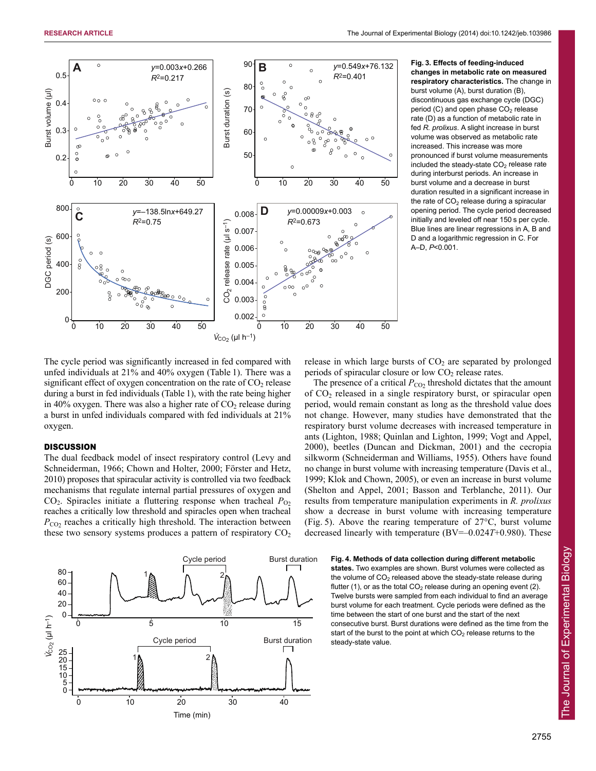

**Fig. 3. Effects of feeding-induced changes in metabolic rate on measured respiratory characteristics.** The change in burst volume (A), burst duration (B), discontinuous gas exchange cycle (DGC) period  $(C)$  and open phase  $CO<sub>2</sub>$  release rate (D) as a function of metabolic rate in fed *R. prolixus*. A slight increase in burst volume was observed as metabolic rate increased. This increase was more pronounced if burst volume measurements included the steady-state  $CO<sub>2</sub>$  release rate during interburst periods. An increase in burst volume and a decrease in burst duration resulted in a significant increase in the rate of  $CO<sub>2</sub>$  release during a spiracular opening period. The cycle period decreased initially and leveled off near 150 s per cycle. Blue lines are linear regressions in A, B and D and a logarithmic regression in C. For A–D, *P*<0.001.

The cycle period was significantly increased in fed compared with unfed individuals at 21% and 40% oxygen (Table 1). There was a significant effect of oxygen concentration on the rate of  $CO<sub>2</sub>$  release during a burst in fed individuals (Table 1), with the rate being higher in 40% oxygen. There was also a higher rate of  $CO<sub>2</sub>$  release during a burst in unfed individuals compared with fed individuals at 21% oxygen.

# **DISCUSSION**

The dual feedback model of insect respiratory control (Levy and Schneiderman, 1966; Chown and Holter, 2000; Förster and Hetz, 2010) proposes that spiracular activity is controlled via two feedback mechanisms that regulate internal partial pressures of oxygen and  $CO<sub>2</sub>$ . Spiracles initiate a fluttering response when tracheal  $P<sub>O2</sub>$ reaches a critically low threshold and spiracles open when tracheal  $P_{\text{CO}_2}$  reaches a critically high threshold. The interaction between these two sensory systems produces a pattern of respiratory  $CO<sub>2</sub>$ 



release in which large bursts of  $CO<sub>2</sub>$  are separated by prolonged periods of spiracular closure or low  $CO<sub>2</sub>$  release rates.

The presence of a critical  $P_{CO_2}$  threshold dictates that the amount of CO2 released in a single respiratory burst, or spiracular open period, would remain constant as long as the threshold value does not change. However, many studies have demonstrated that the respiratory burst volume decreases with increased temperature in ants (Lighton, 1988; Quinlan and Lighton, 1999; Vogt and Appel, 2000), beetles (Duncan and Dickman, 2001) and the cecropia silkworm (Schneiderman and Williams, 1955). Others have found no change in burst volume with increasing temperature (Davis et al., 1999; Klok and Chown, 2005), or even an increase in burst volume (Shelton and Appel, 2001; Basson and Terblanche, 2011). Our results from temperature manipulation experiments in *R. prolixus* show a decrease in burst volume with increasing temperature (Fig. 5). Above the rearing temperature of 27°C, burst volume decreased linearly with temperature (BV=–0.024*T*+0.980). These

**Fig. 4. Methods of data collection during different metabolic states.** Two examples are shown. Burst volumes were collected as the volume of  $CO<sub>2</sub>$  released above the steady-state release during flutter (1), or as the total  $CO<sub>2</sub>$  release during an opening event (2). Twelve bursts were sampled from each individual to find an average burst volume for each treatment. Cycle periods were defined as the time between the start of one burst and the start of the next consecutive burst. Burst durations were defined as the time from the start of the burst to the point at which  $CO<sub>2</sub>$  release returns to the steady-state value.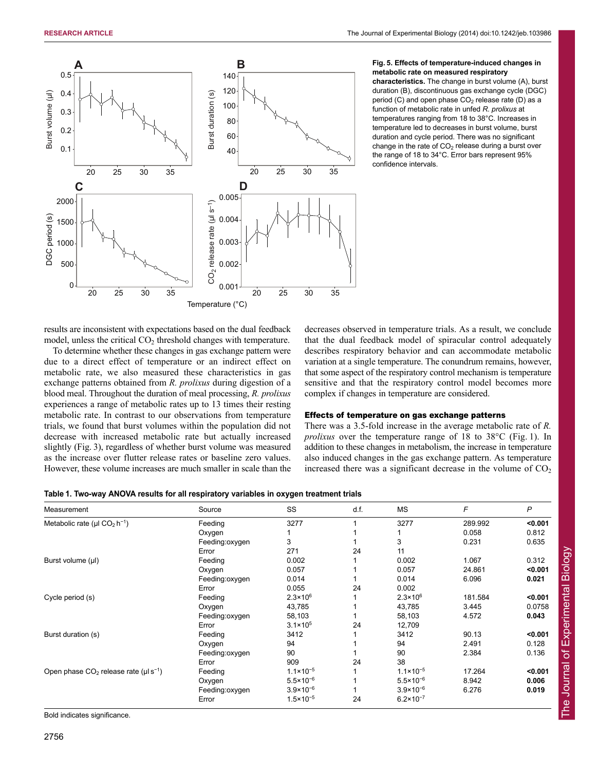

### **Fig. 5. Effects of temperature-induced changes in metabolic rate on measured respiratory**

**characteristics.** The change in burst volume (A), burst duration (B), discontinuous gas exchange cycle (DGC) period (C) and open phase  $CO<sub>2</sub>$  release rate (D) as a function of metabolic rate in unfed *R. prolixus* at temperatures ranging from 18 to 38°C. Increases in temperature led to decreases in burst volume, burst duration and cycle period. There was no significant change in the rate of  $CO<sub>2</sub>$  release during a burst over the range of 18 to 34°C. Error bars represent 95% confidence intervals.

results are inconsistent with expectations based on the dual feedback model, unless the critical  $CO<sub>2</sub>$  threshold changes with temperature.

To determine whether these changes in gas exchange pattern were due to a direct effect of temperature or an indirect effect on metabolic rate, we also measured these characteristics in gas exchange patterns obtained from *R. prolixus* during digestion of a blood meal. Throughout the duration of meal processing, *R. prolixus* experiences a range of metabolic rates up to 13 times their resting metabolic rate. In contrast to our observations from temperature trials, we found that burst volumes within the population did not decrease with increased metabolic rate but actually increased slightly (Fig. 3), regardless of whether burst volume was measured as the increase over flutter release rates or baseline zero values. However, these volume increases are much smaller in scale than the decreases observed in temperature trials. As a result, we conclude that the dual feedback model of spiracular control adequately describes respiratory behavior and can accommodate metabolic variation at a single temperature. The conundrum remains, however, that some aspect of the respiratory control mechanism is temperature sensitive and that the respiratory control model becomes more complex if changes in temperature are considered.

## Effects of temperature on gas exchange patterns

There was a 3.5-fold increase in the average metabolic rate of *R. prolixus* over the temperature range of 18 to 38°C (Fig. 1). In addition to these changes in metabolism, the increase in temperature also induced changes in the gas exchange pattern. As temperature increased there was a significant decrease in the volume of  $CO<sub>2</sub>$ 

The Journal of Experimental Biology

The Journal of Experimental Biology

| Table 1. Two-way ANOVA results for all respiratory variables in oxygen treatment trials |  |  |  |
|-----------------------------------------------------------------------------------------|--|--|--|
|-----------------------------------------------------------------------------------------|--|--|--|

| Measurement                                               | Source         | SS                   | d.f. | <b>MS</b>            | F       | P       |
|-----------------------------------------------------------|----------------|----------------------|------|----------------------|---------|---------|
| Metabolic rate (µl $CO2 h-1$ )                            | Feeding        | 3277                 |      | 3277                 | 289.992 | < 0.001 |
|                                                           | Oxygen         |                      |      |                      | 0.058   | 0.812   |
|                                                           | Feeding:oxygen | 3                    |      | 3                    | 0.231   | 0.635   |
|                                                           | Error          | 271                  | 24   | 11                   |         |         |
| Burst volume (µl)                                         | Feeding        | 0.002                |      | 0.002                | 1.067   | 0.312   |
|                                                           | Oxygen         | 0.057                |      | 0.057                | 24.861  | < 0.001 |
|                                                           | Feeding:oxygen | 0.014                |      | 0.014                | 6.096   | 0.021   |
|                                                           | Error          | 0.055                | 24   | 0.002                |         |         |
| Cycle period (s)                                          | Feeding        | $2.3 \times 10^6$    |      | $2.3 \times 10^{6}$  | 181.584 | < 0.001 |
|                                                           | Oxygen         | 43,785               |      | 43,785               | 3.445   | 0.0758  |
|                                                           | Feeding:oxygen | 58,103               |      | 58,103               | 4.572   | 0.043   |
|                                                           | Error          | $3.1 \times 10^{5}$  | 24   | 12,709               |         |         |
| Burst duration (s)                                        | Feeding        | 3412                 |      | 3412                 | 90.13   | < 0.001 |
|                                                           | Oxygen         | 94                   |      | 94                   | 2.491   | 0.128   |
|                                                           | Feeding:oxygen | 90                   |      | 90                   | 2.384   | 0.136   |
|                                                           | Error          | 909                  | 24   | 38                   |         |         |
| Open phase $CO2$ release rate ( $\mu$ l s <sup>-1</sup> ) | Feeding        | $1.1 \times 10^{-5}$ |      | $1.1 \times 10^{-5}$ | 17.264  | < 0.001 |
|                                                           | Oxygen         | $5.5 \times 10^{-6}$ |      | $5.5 \times 10^{-6}$ | 8.942   | 0.006   |
|                                                           | Feeding:oxygen | $3.9 \times 10^{-6}$ |      | $3.9 \times 10^{-6}$ | 6.276   | 0.019   |
|                                                           | Error          | $1.5 \times 10^{-5}$ | 24   | $6.2 \times 10^{-7}$ |         |         |

Bold indicates significance.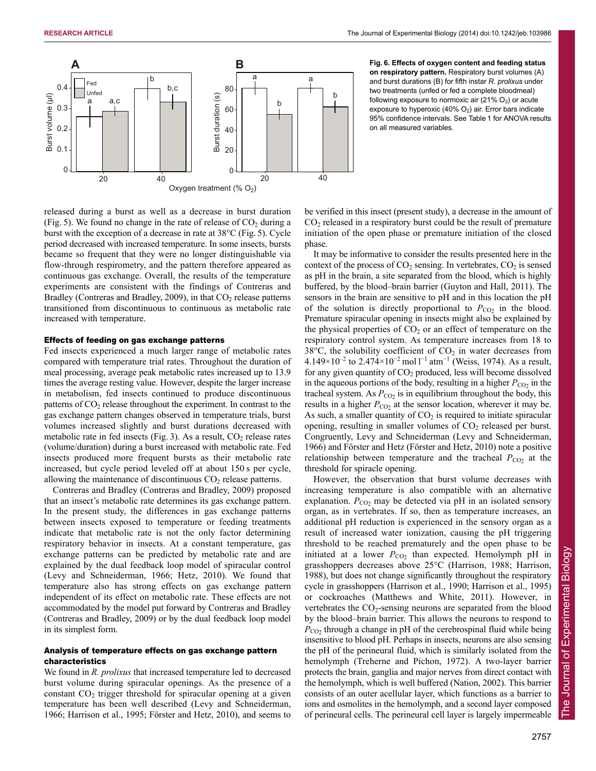

released during a burst as well as a decrease in burst duration (Fig. 5). We found no change in the rate of release of  $CO<sub>2</sub>$  during a burst with the exception of a decrease in rate at 38°C (Fig. 5). Cycle period decreased with increased temperature. In some insects, bursts became so frequent that they were no longer distinguishable via flow-through respirometry, and the pattern therefore appeared as continuous gas exchange. Overall, the results of the temperature experiments are consistent with the findings of Contreras and Bradley (Contreras and Bradley, 2009), in that  $CO<sub>2</sub>$  release patterns transitioned from discontinuous to continuous as metabolic rate increased with temperature.

## Effects of feeding on gas exchange patterns

Fed insects experienced a much larger range of metabolic rates compared with temperature trial rates. Throughout the duration of meal processing, average peak metabolic rates increased up to 13.9 times the average resting value. However, despite the larger increase in metabolism, fed insects continued to produce discontinuous patterns of  $CO<sub>2</sub>$  release throughout the experiment. In contrast to the gas exchange pattern changes observed in temperature trials, burst volumes increased slightly and burst durations decreased with metabolic rate in fed insects (Fig. 3). As a result,  $CO<sub>2</sub>$  release rates (volume/duration) during a burst increased with metabolic rate. Fed insects produced more frequent bursts as their metabolic rate increased, but cycle period leveled off at about 150 s per cycle, allowing the maintenance of discontinuous  $CO<sub>2</sub>$  release patterns.

Contreras and Bradley (Contreras and Bradley, 2009) proposed that an insect's metabolic rate determines its gas exchange pattern. In the present study, the differences in gas exchange patterns between insects exposed to temperature or feeding treatments indicate that metabolic rate is not the only factor determining respiratory behavior in insects. At a constant temperature, gas exchange patterns can be predicted by metabolic rate and are explained by the dual feedback loop model of spiracular control (Levy and Schneiderman, 1966; Hetz, 2010). We found that temperature also has strong effects on gas exchange pattern independent of its effect on metabolic rate. These effects are not accommodated by the model put forward by Contreras and Bradley (Contreras and Bradley, 2009) or by the dual feedback loop model in its simplest form.

# Analysis of temperature effects on gas exchange pattern characteristics

We found in *R. prolixus* that increased temperature led to decreased burst volume during spiracular openings. As the presence of a constant  $CO<sub>2</sub>$  trigger threshold for spiracular opening at a given temperature has been well described (Levy and Schneiderman, 1966; Harrison et al., 1995; Fӧrster and Hetz, 2010), and seems to

**Fig. 6. Effects of oxygen content and feeding status on respiratory pattern.** Respiratory burst volumes (A) and burst durations (B) for fifth instar *R. prolixus* under two treatments (unfed or fed a complete bloodmeal) following exposure to normoxic air  $(21\% O<sub>2</sub>)$  or acute exposure to hyperoxic (40%  $O<sub>2</sub>$ ) air. Error bars indicate 95% confidence intervals. See Table 1 for ANOVA results on all measured variables.

be verified in this insect (present study), a decrease in the amount of  $CO<sub>2</sub>$  released in a respiratory burst could be the result of premature initiation of the open phase or premature initiation of the closed phase.

It may be informative to consider the results presented here in the context of the process of  $CO<sub>2</sub>$  sensing. In vertebrates,  $CO<sub>2</sub>$  is sensed as pH in the brain, a site separated from the blood, which is highly buffered, by the blood–brain barrier (Guyton and Hall, 2011). The sensors in the brain are sensitive to pH and in this location the pH of the solution is directly proportional to  $P_{CO2}$  in the blood. Premature spiracular opening in insects might also be explained by the physical properties of  $CO<sub>2</sub>$  or an effect of temperature on the respiratory control system. As temperature increases from 18 to  $38^{\circ}$ C, the solubility coefficient of CO<sub>2</sub> in water decreases from  $4.149\times10^{-2}$  to  $2.474\times10^{-2}$  mol  $1^{-1}$  atm<sup>-1</sup> (Weiss, 1974). As a result, for any given quantity of  $CO<sub>2</sub>$  produced, less will become dissolved in the aqueous portions of the body, resulting in a higher  $P_{\text{CO}_2}$  in the tracheal system. As  $P_{CO_2}$  is in equilibrium throughout the body, this results in a higher  $P_{CO_2}$  at the sensor location, wherever it may be. As such, a smaller quantity of  $CO<sub>2</sub>$  is required to initiate spiracular opening, resulting in smaller volumes of  $CO<sub>2</sub>$  released per burst. Congruently, Levy and Schneiderman (Levy and Schneiderman, 1966) and Förster and Hetz (Förster and Hetz, 2010) note a positive relationship between temperature and the tracheal  $P_{CO_2}$  at the threshold for spiracle opening.

However, the observation that burst volume decreases with increasing temperature is also compatible with an alternative explanation.  $P_{CO2}$  may be detected via pH in an isolated sensory organ, as in vertebrates. If so, then as temperature increases, an additional pH reduction is experienced in the sensory organ as a result of increased water ionization, causing the pH triggering threshold to be reached prematurely and the open phase to be initiated at a lower  $P_{CO_2}$  than expected. Hemolymph pH in grasshoppers decreases above 25°C (Harrison, 1988; Harrison, 1988), but does not change significantly throughout the respiratory cycle in grasshoppers (Harrison et al., 1990; Harrison et al., 1995) or cockroaches (Matthews and White, 2011). However, in vertebrates the  $CO_2$ -sensing neurons are separated from the blood by the blood–brain barrier. This allows the neurons to respond to  $P_{CO2}$  through a change in pH of the cerebrospinal fluid while being insensitive to blood pH. Perhaps in insects, neurons are also sensing the pH of the perineural fluid, which is similarly isolated from the hemolymph (Treherne and Pichon, 1972). A two-layer barrier protects the brain, ganglia and major nerves from direct contact with the hemolymph, which is well buffered (Nation, 2002). This barrier consists of an outer acellular layer, which functions as a barrier to ions and osmolites in the hemolymph, and a second layer composed of perineural cells. The perineural cell layer is largely impermeable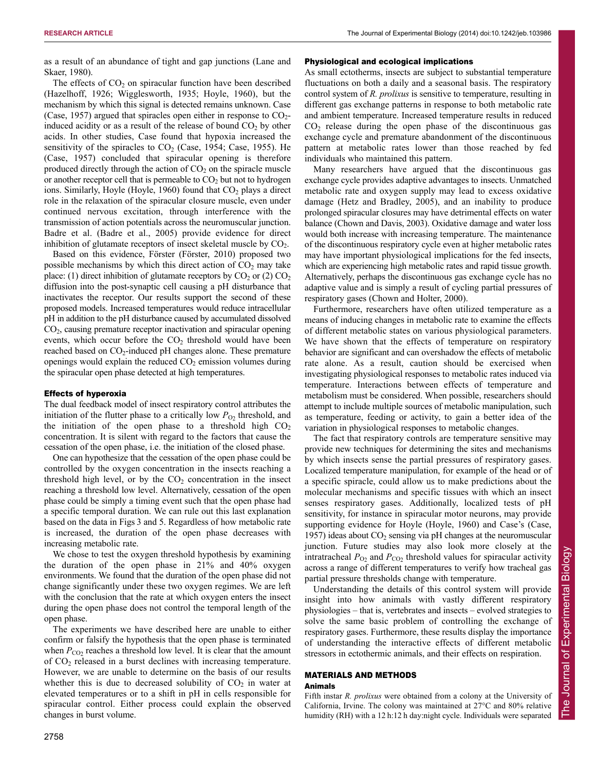as a result of an abundance of tight and gap junctions (Lane and Skaer, 1980).

The effects of  $CO<sub>2</sub>$  on spiracular function have been described (Hazelhoff, 1926; Wigglesworth, 1935; Hoyle, 1960), but the mechanism by which this signal is detected remains unknown. Case (Case, 1957) argued that spiracles open either in response to  $CO<sub>2</sub>$ induced acidity or as a result of the release of bound  $CO<sub>2</sub>$  by other acids. In other studies, Case found that hypoxia increased the sensitivity of the spiracles to  $CO<sub>2</sub>$  (Case, 1954; Case, 1955). He (Case, 1957) concluded that spiracular opening is therefore produced directly through the action of  $CO<sub>2</sub>$  on the spiracle muscle or another receptor cell that is permeable to  $CO<sub>2</sub>$  but not to hydrogen ions. Similarly, Hoyle (Hoyle, 1960) found that  $CO<sub>2</sub>$  plays a direct role in the relaxation of the spiracular closure muscle, even under continued nervous excitation, through interference with the transmission of action potentials across the neuromuscular junction. Badre et al. (Badre et al., 2005) provide evidence for direct inhibition of glutamate receptors of insect skeletal muscle by  $CO<sub>2</sub>$ .

Based on this evidence, Fӧrster (Fӧrster, 2010) proposed two possible mechanisms by which this direct action of  $CO<sub>2</sub>$  may take place: (1) direct inhibition of glutamate receptors by  $CO_2$  or (2)  $CO_2$ diffusion into the post-synaptic cell causing a pH disturbance that inactivates the receptor. Our results support the second of these proposed models. Increased temperatures would reduce intracellular pH in addition to the pH disturbance caused by accumulated dissolved CO2, causing premature receptor inactivation and spiracular opening events, which occur before the  $CO<sub>2</sub>$  threshold would have been reached based on  $CO<sub>2</sub>$ -induced pH changes alone. These premature openings would explain the reduced  $CO<sub>2</sub>$  emission volumes during the spiracular open phase detected at high temperatures.

## Effects of hyperoxia

The dual feedback model of insect respiratory control attributes the initiation of the flutter phase to a critically low  $P_{\text{O}2}$ , threshold, and the initiation of the open phase to a threshold high  $CO<sub>2</sub>$ concentration. It is silent with regard to the factors that cause the cessation of the open phase, i.e. the initiation of the closed phase.

One can hypothesize that the cessation of the open phase could be controlled by the oxygen concentration in the insects reaching a threshold high level, or by the  $CO<sub>2</sub>$  concentration in the insect reaching a threshold low level. Alternatively, cessation of the open phase could be simply a timing event such that the open phase had a specific temporal duration. We can rule out this last explanation based on the data in Figs 3 and 5. Regardless of how metabolic rate is increased, the duration of the open phase decreases with increasing metabolic rate.

We chose to test the oxygen threshold hypothesis by examining the duration of the open phase in 21% and 40% oxygen environments. We found that the duration of the open phase did not change significantly under these two oxygen regimes. We are left with the conclusion that the rate at which oxygen enters the insect during the open phase does not control the temporal length of the open phase.

The experiments we have described here are unable to either confirm or falsify the hypothesis that the open phase is terminated when  $P_{\text{CO}_2}$  reaches a threshold low level. It is clear that the amount of CO2 released in a burst declines with increasing temperature. However, we are unable to determine on the basis of our results whether this is due to decreased solubility of  $CO<sub>2</sub>$  in water at elevated temperatures or to a shift in pH in cells responsible for spiracular control. Either process could explain the observed changes in burst volume.

## Physiological and ecological implications

As small ectotherms, insects are subject to substantial temperature fluctuations on both a daily and a seasonal basis. The respiratory control system of *R. prolixus* is sensitive to temperature, resulting in different gas exchange patterns in response to both metabolic rate and ambient temperature. Increased temperature results in reduced  $CO<sub>2</sub>$  release during the open phase of the discontinuous gas exchange cycle and premature abandonment of the discontinuous pattern at metabolic rates lower than those reached by fed individuals who maintained this pattern.

Many researchers have argued that the discontinuous gas exchange cycle provides adaptive advantages to insects. Unmatched metabolic rate and oxygen supply may lead to excess oxidative damage (Hetz and Bradley, 2005), and an inability to produce prolonged spiracular closures may have detrimental effects on water balance (Chown and Davis, 2003). Oxidative damage and water loss would both increase with increasing temperature. The maintenance of the discontinuous respiratory cycle even at higher metabolic rates may have important physiological implications for the fed insects, which are experiencing high metabolic rates and rapid tissue growth. Alternatively, perhaps the discontinuous gas exchange cycle has no adaptive value and is simply a result of cycling partial pressures of respiratory gases (Chown and Holter, 2000).

Furthermore, researchers have often utilized temperature as a means of inducing changes in metabolic rate to examine the effects of different metabolic states on various physiological parameters. We have shown that the effects of temperature on respiratory behavior are significant and can overshadow the effects of metabolic rate alone. As a result, caution should be exercised when investigating physiological responses to metabolic rates induced via temperature. Interactions between effects of temperature and metabolism must be considered. When possible, researchers should attempt to include multiple sources of metabolic manipulation, such as temperature, feeding or activity, to gain a better idea of the variation in physiological responses to metabolic changes.

The fact that respiratory controls are temperature sensitive may provide new techniques for determining the sites and mechanisms by which insects sense the partial pressures of respiratory gases. Localized temperature manipulation, for example of the head or of a specific spiracle, could allow us to make predictions about the molecular mechanisms and specific tissues with which an insect senses respiratory gases. Additionally, localized tests of pH sensitivity, for instance in spiracular motor neurons, may provide supporting evidence for Hoyle (Hoyle, 1960) and Case's (Case, 1957) ideas about  $CO<sub>2</sub>$  sensing via pH changes at the neuromuscular junction. Future studies may also look more closely at the intratracheal  $P_{O_2}$  and  $P_{CO_2}$  threshold values for spiracular activity across a range of different temperatures to verify how tracheal gas partial pressure thresholds change with temperature.

Understanding the details of this control system will provide insight into how animals with vastly different respiratory physiologies – that is, vertebrates and insects – evolved strategies to solve the same basic problem of controlling the exchange of respiratory gases. Furthermore, these results display the importance of understanding the interactive effects of different metabolic stressors in ectothermic animals, and their effects on respiration.

## MATERIALS AND METHODS Animals

Fifth instar *R. prolixus* were obtained from a colony at the University of California, Irvine. The colony was maintained at 27°C and 80% relative humidity (RH) with a 12 h:12 h day:night cycle. Individuals were separated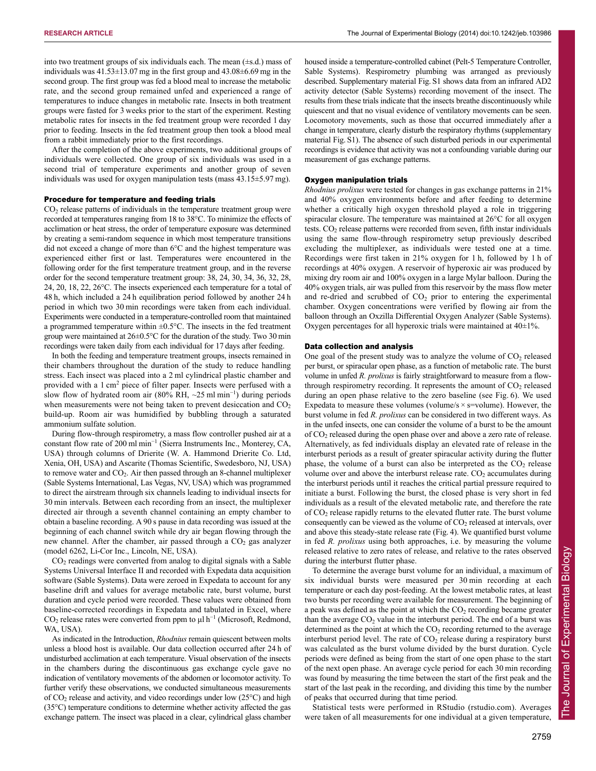into two treatment groups of six individuals each. The mean  $(\pm s.d.)$  mass of individuals was  $41.53\pm13.07$  mg in the first group and  $43.08\pm6.69$  mg in the second group. The first group was fed a blood meal to increase the metabolic rate, and the second group remained unfed and experienced a range of temperatures to induce changes in metabolic rate. Insects in both treatment groups were fasted for 3 weeks prior to the start of the experiment. Resting metabolic rates for insects in the fed treatment group were recorded 1 day prior to feeding. Insects in the fed treatment group then took a blood meal from a rabbit immediately prior to the first recordings.

After the completion of the above experiments, two additional groups of individuals were collected. One group of six individuals was used in a second trial of temperature experiments and another group of seven individuals was used for oxygen manipulation tests (mass 43.15±5.97 mg).

## Procedure for temperature and feeding trials

 $CO<sub>2</sub>$  release patterns of individuals in the temperature treatment group were recorded at temperatures ranging from 18 to 38°C. To minimize the effects of acclimation or heat stress, the order of temperature exposure was determined by creating a semi-random sequence in which most temperature transitions did not exceed a change of more than 6°C and the highest temperature was experienced either first or last. Temperatures were encountered in the following order for the first temperature treatment group, and in the reverse order for the second temperature treatment group: 38, 24, 30, 34, 36, 32, 28, 24, 20, 18, 22, 26°C. The insects experienced each temperature for a total of 48 h, which included a 24 h equilibration period followed by another 24 h period in which two 30 min recordings were taken from each individual. Experiments were conducted in a temperature-controlled room that maintained a programmed temperature within  $\pm 0.5^{\circ}$ C. The insects in the fed treatment group were maintained at 26±0.5°C for the duration of the study. Two 30 min recordings were taken daily from each individual for 17 days after feeding.

In both the feeding and temperature treatment groups, insects remained in their chambers throughout the duration of the study to reduce handling stress. Each insect was placed into a 2 ml cylindrical plastic chamber and provided with a 1 cm<sup>2</sup> piece of filter paper. Insects were perfused with a slow flow of hydrated room air (80% RH,  $\sim$ 25 ml min<sup>-1</sup>) during periods when measurements were not being taken to prevent desiccation and  $CO<sub>2</sub>$ build-up. Room air was humidified by bubbling through a saturated ammonium sulfate solution.

During flow-through respirometry, a mass flow controller pushed air at a constant flow rate of 200 ml min<sup>−</sup><sup>1</sup> (Sierra Instruments Inc., Monterey, CA, USA) through columns of Drierite (W. A. Hammond Drierite Co. Ltd, Xenia, OH, USA) and Ascarite (Thomas Scientific, Swedesboro, NJ, USA) to remove water and  $CO<sub>2</sub>$ . Air then passed through an 8-channel multiplexer (Sable Systems International, Las Vegas, NV, USA) which was programmed to direct the airstream through six channels leading to individual insects for 30 min intervals. Between each recording from an insect, the multiplexer directed air through a seventh channel containing an empty chamber to obtain a baseline recording. A 90 s pause in data recording was issued at the beginning of each channel switch while dry air began flowing through the new channel. After the chamber, air passed through a  $CO<sub>2</sub>$  gas analyzer (model 6262, Li-Cor Inc., Lincoln, NE, USA).

CO2 readings were converted from analog to digital signals with a Sable Systems Universal Interface II and recorded with Expedata data acquisition software (Sable Systems). Data were zeroed in Expedata to account for any baseline drift and values for average metabolic rate, burst volume, burst duration and cycle period were recorded. These values were obtained from baseline-corrected recordings in Expedata and tabulated in Excel, where CO<sub>2</sub> release rates were converted from ppm to  $\mu$ l h<sup>-1</sup> (Microsoft, Redmond, WA, USA).

As indicated in the Introduction, *Rhodnius* remain quiescent between molts unless a blood host is available. Our data collection occurred after 24 h of undisturbed acclimation at each temperature. Visual observation of the insects in the chambers during the discontinuous gas exchange cycle gave no indication of ventilatory movements of the abdomen or locomotor activity. To further verify these observations, we conducted simultaneous measurements of  $CO_2$  release and activity, and video recordings under low (25 $\degree$ C) and high (35°C) temperature conditions to determine whether activity affected the gas exchange pattern. The insect was placed in a clear, cylindrical glass chamber

housed inside a temperature-controlled cabinet (Pelt-5 Temperature Controller, Sable Systems). Respirometry plumbing was arranged as previously described. Supplementary material Fig. S1 shows data from an infrared AD2 activity detector (Sable Systems) recording movement of the insect. The results from these trials indicate that the insects breathe discontinuously while quiescent and that no visual evidence of ventilatory movements can be seen. Locomotory movements, such as those that occurred immediately after a change in temperature, clearly disturb the respiratory rhythms (supplementary material Fig. S1). The absence of such disturbed periods in our experimental recordings is evidence that activity was not a confounding variable during our measurement of gas exchange patterns.

#### Oxygen manipulation trials

*Rhodnius prolixus* were tested for changes in gas exchange patterns in 21% and 40% oxygen environments before and after feeding to determine whether a critically high oxygen threshold played a role in triggering spiracular closure. The temperature was maintained at 26°C for all oxygen tests.  $CO<sub>2</sub>$  release patterns were recorded from seven, fifth instar individuals using the same flow-through respirometry setup previously described excluding the multiplexer, as individuals were tested one at a time. Recordings were first taken in 21% oxygen for 1 h, followed by 1 h of recordings at 40% oxygen. A reservoir of hyperoxic air was produced by mixing dry room air and 100% oxygen in a large Mylar balloon. During the 40% oxygen trials, air was pulled from this reservoir by the mass flow meter and re-dried and scrubbed of  $CO<sub>2</sub>$  prior to entering the experimental chamber. Oxygen concentrations were verified by flowing air from the balloon through an Oxzilla Differential Oxygen Analyzer (Sable Systems). Oxygen percentages for all hyperoxic trials were maintained at 40±1%.

## Data collection and analysis

One goal of the present study was to analyze the volume of  $CO<sub>2</sub>$  released per burst, or spiracular open phase, as a function of metabolic rate. The burst volume in unfed *R. prolixus* is fairly straightforward to measure from a flowthrough respirometry recording. It represents the amount of  $CO<sub>2</sub>$  released during an open phase relative to the zero baseline (see Fig. 6). We used Expedata to measure these volumes (volume/s  $\times$  s=volume). However, the burst volume in fed *R. prolixus* can be considered in two different ways. As in the unfed insects, one can consider the volume of a burst to be the amount of CO2 released during the open phase over and above a zero rate of release. Alternatively, as fed individuals display an elevated rate of release in the interburst periods as a result of greater spiracular activity during the flutter phase, the volume of a burst can also be interpreted as the  $CO<sub>2</sub>$  release volume over and above the interburst release rate.  $CO<sub>2</sub>$  accumulates during the interburst periods until it reaches the critical partial pressure required to initiate a burst. Following the burst, the closed phase is very short in fed individuals as a result of the elevated metabolic rate, and therefore the rate of CO2 release rapidly returns to the elevated flutter rate. The burst volume consequently can be viewed as the volume of  $CO<sub>2</sub>$  released at intervals, over and above this steady-state release rate (Fig. 4). We quantified burst volume in fed *R. prolixus* using both approaches, i.e. by measuring the volume released relative to zero rates of release, and relative to the rates observed during the interburst flutter phase.

To determine the average burst volume for an individual, a maximum of six individual bursts were measured per 30 min recording at each temperature or each day post-feeding. At the lowest metabolic rates, at least two bursts per recording were available for measurement. The beginning of a peak was defined as the point at which the  $CO<sub>2</sub>$  recording became greater than the average  $CO<sub>2</sub>$  value in the interburst period. The end of a burst was determined as the point at which the  $CO<sub>2</sub>$  recording returned to the average interburst period level. The rate of  $CO<sub>2</sub>$  release during a respiratory burst was calculated as the burst volume divided by the burst duration. Cycle periods were defined as being from the start of one open phase to the start of the next open phase. An average cycle period for each 30 min recording was found by measuring the time between the start of the first peak and the start of the last peak in the recording, and dividing this time by the number of peaks that occurred during that time period.

Statistical tests were performed in RStudio (rstudio.com). Averages were taken of all measurements for one individual at a given temperature,